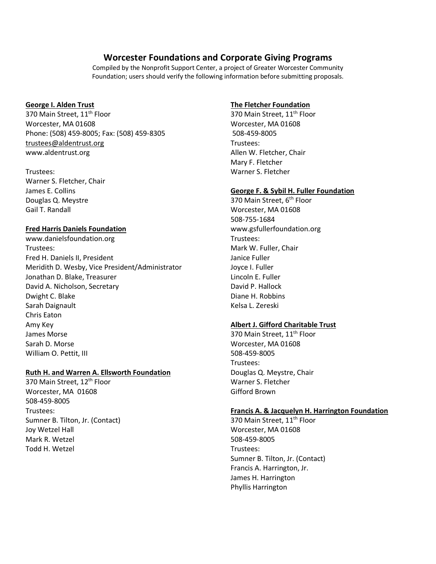# **Worcester Foundations and Corporate Giving Programs**

Compiled by the Nonprofit Support Center, a project of Greater Worcester Community Foundation; users should verify the following information before submitting proposals.

#### **George I. Alden Trust**

370 Main Street, 11<sup>th</sup> Floor Worcester, MA 01608 Phone: (508) 459-8005; Fax: (508) 459-8305 trustees@aldentrust.org www.aldentrust.org

#### Trustees:

Warner S. Fletcher, Chair James E. Collins Douglas Q. Meystre Gail T. Randall

#### **Fred Harris Daniels Foundation**

www.danielsfoundation.org Trustees: Fred H. Daniels II, President Meridith D. Wesby, Vice President/Administrator Jonathan D. Blake, Treasurer David A. Nicholson, Secretary Dwight C. Blake Sarah Daignault Chris Eaton Amy Key James Morse Sarah D. Morse William O. Pettit, III

### **Ruth H. and Warren A. Ellsworth Foundation**

370 Main Street, 12<sup>th</sup> Floor Worcester, MA 01608 508-459-8005 Trustees: Sumner B. Tilton, Jr. (Contact) Joy Wetzel Hall Mark R. Wetzel Todd H. Wetzel

#### **The Fletcher Foundation**

370 Main Street, 11<sup>th</sup> Floor Worcester, MA 01608 508-459-8005 Trustees: Allen W. Fletcher, Chair Mary F. Fletcher Warner S. Fletcher

#### **George F. & Sybil H. Fuller Foundation**

370 Main Street, 6<sup>th</sup> Floor Worcester, MA 01608 508-755-1684 www.gsfullerfoundation.org Trustees: Mark W. Fuller, Chair Janice Fuller Joyce I. Fuller Lincoln E. Fuller David P. Hallock Diane H. Robbins Kelsa L. Zereski

## **Albert J. Gifford Charitable Trust**

370 Main Street, 11<sup>th</sup> Floor Worcester, MA 01608 508-459-8005 Trustees: Douglas Q. Meystre, Chair Warner S. Fletcher Gifford Brown

#### **Francis A. & Jacquelyn H. Harrington Foundation**

370 Main Street, 11<sup>th</sup> Floor Worcester, MA 01608 508-459-8005 Trustees: Sumner B. Tilton, Jr. (Contact) Francis A. Harrington, Jr. James H. Harrington Phyllis Harrington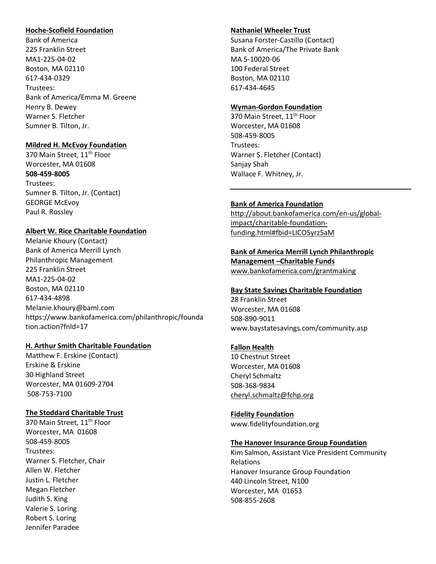#### **Hoche-Scofield Foundation**

Bank of America 225 Franklin Street MA1-225-04-02 Boston, MA 02110 617-434-0329 Trustees: Bank of America/Emma M. Greene Henry B. Dewey Warner S. Fletcher Sumner B. Tilton, Jr.

### **Mildred H. McEvoy Foundation**

370 Main Street, 11<sup>th</sup> Floor Worcester, MA 01608 **508-459-8005**  Trustees: Sumner B. Tilton, Jr. (Contact) GEORGE McEvoy Paul R. Rossley

#### **Albert W. Rice Charitable Foundation**

Melanie Khoury (Contact) Bank of America Merrill Lynch Philanthropic Management 225 Franklin Street MA1-225-04-02 Boston, MA 02110 617-434-4898 Melanie.khoury@baml.com https://www.bankofamerica.com/philanthropic/founda tion.action?fnld=17

#### **H. Arthur Smith Charitable Foundation**

Matthew F. Erskine (Contact) Erskine & Erskine 30 Highland Street Worcester, MA 01609-2704 508-753-7100

### **The Stoddard Charitable Trust**

370 Main Street, 11<sup>th</sup> Floor Worcester, MA 01608 508-459-8005 Trustees: Warner S. Fletcher, Chair Allen W. Fletcher Justin L. Fletcher Megan Fletcher Judith S. King Valerie S. Loring Robert S. Loring Jennifer Paradee

### **Nathaniel Wheeler Trust**

Susana Forster-Castillo (Contact) Bank of America/The Private Bank MA 5-10020-06 100 Federal Street Boston, MA 02110 617-434-4645

### **Wyman-Gordon Foundation**

370 Main Street, 11<sup>th</sup> Floor Worcester, MA 01608 508-459-8005 Trustees: Warner S. Fletcher (Contact) Sanjay Shah Wallace F. Whitney, Jr.

### **Bank of America Foundation**

http://about.bankofamerica.com/en-us/globalimpact/charitable-foundationfunding.html#fbid=LICO5yrz5aM

### **Bank of America Merrill Lynch Philanthropic Management –Charitable Funds**  www.bankofamerica.com/grantmaking

#### **Bay State Savings Charitable Foundation**

28 Franklin Street Worcester, MA 01608 508-890-9011 www.baystatesavings.com/community.asp

#### **Fallon Health**

10 Chestnut Street Worcester, MA 01608 Cheryl Schmaltz 508-368-9834 cheryl.schmaltz@fchp.org

**Fidelity Foundation** www.fidelityfoundation.org

### **The Hanover Insurance Group Foundation**

Kim Salmon, Assistant Vice President Community Relations Hanover Insurance Group Foundation 440 Lincoln Street, N100 Worcester, MA 01653 508-855-2608